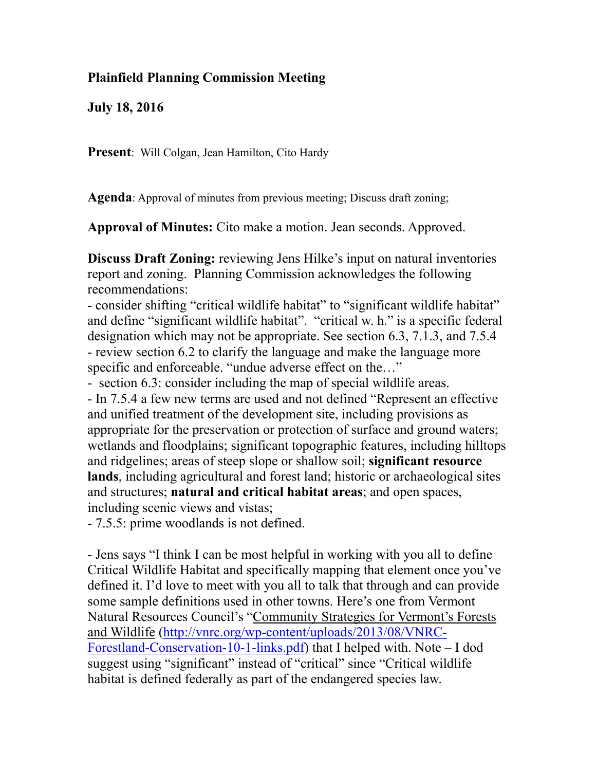## **Plainfield Planning Commission Meeting**

**July 18, 2016** 

**Present**: Will Colgan, Jean Hamilton, Cito Hardy

**Agenda**: Approval of minutes from previous meeting; Discuss draft zoning;

**Approval of Minutes:** Cito make a motion. Jean seconds. Approved.

**Discuss Draft Zoning:** reviewing Jens Hilke's input on natural inventories report and zoning. Planning Commission acknowledges the following recommendations:

- consider shifting "critical wildlife habitat" to "significant wildlife habitat" and define "significant wildlife habitat". "critical w. h." is a specific federal designation which may not be appropriate. See section 6.3, 7.1.3, and 7.5.4 - review section 6.2 to clarify the language and make the language more specific and enforceable. "undue adverse effect on the..."

- section 6.3: consider including the map of special wildlife areas. - In 7.5.4 a few new terms are used and not defined "Represent an effective and unified treatment of the development site, including provisions as appropriate for the preservation or protection of surface and ground waters; wetlands and floodplains; significant topographic features, including hilltops and ridgelines; areas of steep slope or shallow soil; **significant resource lands**, including agricultural and forest land; historic or archaeological sites and structures; **natural and critical habitat areas**; and open spaces, including scenic views and vistas;

- 7.5.5: prime woodlands is not defined.

- Jens says "I think I can be most helpful in working with you all to define Critical Wildlife Habitat and specifically mapping that element once you've defined it. I'd love to meet with you all to talk that through and can provide some sample definitions used in other towns. Here's one from Vermont Natural Resources Council's "Community Strategies for Vermont's Forests and Wildlife ([http://vnrc.org/wp-content/uploads/2013/08/VNRC-](http://vnrc.org/wp-content/uploads/2013/08/VNRC-Forestland-Conservation-10-1-links.pdf)[Forestland-Conservation-10-1-links.pdf\) that I helped with. Note –](http://vnrc.org/wp-content/uploads/2013/08/VNRC-Forestland-Conservation-10-1-links.pdf) I dod suggest using "significant" instead of "critical" since "Critical wildlife" habitat is defined federally as part of the endangered species law.